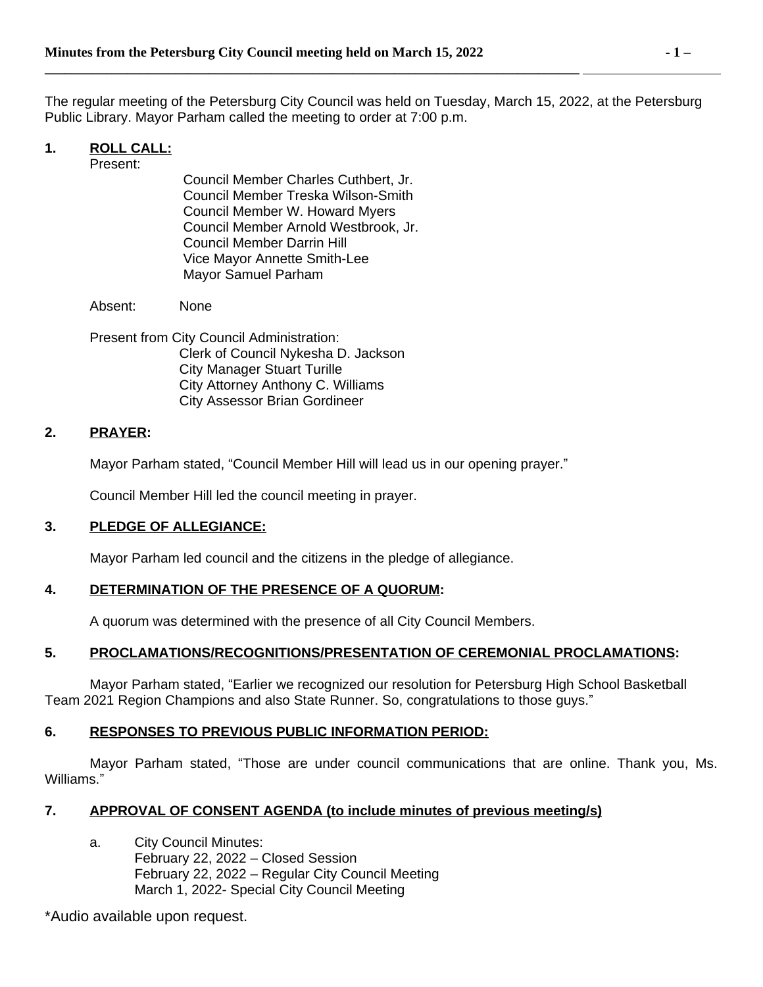The regular meeting of the Petersburg City Council was held on Tuesday, March 15, 2022, at the Petersburg Public Library. Mayor Parham called the meeting to order at 7:00 p.m.

# **1. ROLL CALL:**

Present:

Council Member Charles Cuthbert, Jr. Council Member Treska Wilson-Smith Council Member W. Howard Myers Council Member Arnold Westbrook, Jr. Council Member Darrin Hill Vice Mayor Annette Smith-Lee Mayor Samuel Parham

**\_\_\_\_\_\_\_\_\_\_\_\_\_\_\_\_\_\_\_\_\_\_\_\_\_\_\_\_\_\_\_\_\_\_\_\_\_\_\_\_\_\_\_\_\_\_\_\_\_\_\_\_\_\_\_\_\_\_\_\_\_\_\_\_\_\_\_\_\_\_\_\_\_\_\_\_\_\_** 

Absent: None

Present from City Council Administration: Clerk of Council Nykesha D. Jackson City Manager Stuart Turille City Attorney Anthony C. Williams City Assessor Brian Gordineer

## **2. PRAYER:**

Mayor Parham stated, "Council Member Hill will lead us in our opening prayer."

Council Member Hill led the council meeting in prayer.

## **3. PLEDGE OF ALLEGIANCE:**

Mayor Parham led council and the citizens in the pledge of allegiance.

## **4. DETERMINATION OF THE PRESENCE OF A QUORUM:**

A quorum was determined with the presence of all City Council Members.

## **5. PROCLAMATIONS/RECOGNITIONS/PRESENTATION OF CEREMONIAL PROCLAMATIONS:**

Mayor Parham stated, "Earlier we recognized our resolution for Petersburg High School Basketball Team 2021 Region Champions and also State Runner. So, congratulations to those guys."

## **6. RESPONSES TO PREVIOUS PUBLIC INFORMATION PERIOD:**

Mayor Parham stated, "Those are under council communications that are online. Thank you, Ms. Williams."

## **7. APPROVAL OF CONSENT AGENDA (to include minutes of previous meeting/s)**

a. City Council Minutes: February 22, 2022 – Closed Session February 22, 2022 – Regular City Council Meeting March 1, 2022- Special City Council Meeting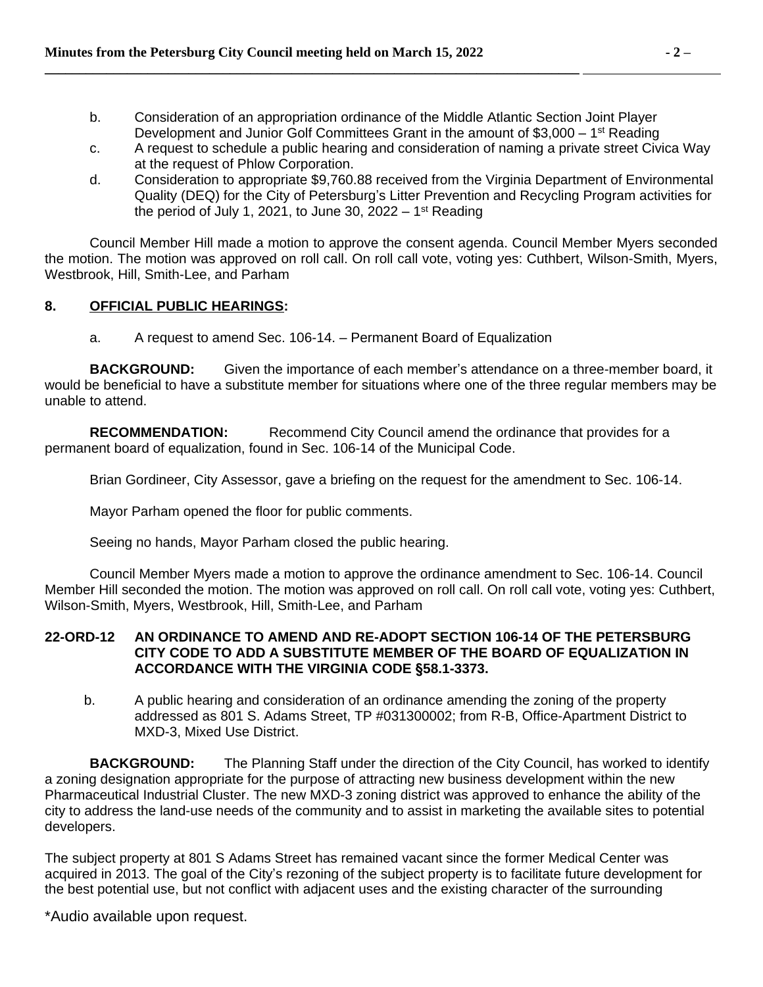- b. Consideration of an appropriation ordinance of the Middle Atlantic Section Joint Player Development and Junior Golf Committees Grant in the amount of \$3,000 - 1<sup>st</sup> Reading
- c. A request to schedule a public hearing and consideration of naming a private street Civica Way at the request of Phlow Corporation.
- d. Consideration to appropriate \$9,760.88 received from the Virginia Department of Environmental Quality (DEQ) for the City of Petersburg's Litter Prevention and Recycling Program activities for the period of July 1, 2021, to June 30, 2022 – 1<sup>st</sup> Reading

Council Member Hill made a motion to approve the consent agenda. Council Member Myers seconded the motion. The motion was approved on roll call. On roll call vote, voting yes: Cuthbert, Wilson-Smith, Myers, Westbrook, Hill, Smith-Lee, and Parham

# **8. OFFICIAL PUBLIC HEARINGS:**

a. A request to amend Sec. 106-14. – Permanent Board of Equalization

**BACKGROUND:** Given the importance of each member's attendance on a three-member board, it would be beneficial to have a substitute member for situations where one of the three regular members may be unable to attend.

**RECOMMENDATION:** Recommend City Council amend the ordinance that provides for a permanent board of equalization, found in Sec. 106-14 of the Municipal Code.

Brian Gordineer, City Assessor, gave a briefing on the request for the amendment to Sec. 106-14.

Mayor Parham opened the floor for public comments.

Seeing no hands, Mayor Parham closed the public hearing.

Council Member Myers made a motion to approve the ordinance amendment to Sec. 106-14. Council Member Hill seconded the motion. The motion was approved on roll call. On roll call vote, voting yes: Cuthbert, Wilson-Smith, Myers, Westbrook, Hill, Smith-Lee, and Parham

#### **22-ORD-12 AN ORDINANCE TO AMEND AND RE-ADOPT SECTION 106-14 OF THE PETERSBURG CITY CODE TO ADD A SUBSTITUTE MEMBER OF THE BOARD OF EQUALIZATION IN ACCORDANCE WITH THE VIRGINIA CODE §58.1-3373.**

b. A public hearing and consideration of an ordinance amending the zoning of the property addressed as 801 S. Adams Street, TP #031300002; from R-B, Office-Apartment District to MXD-3, Mixed Use District.

**BACKGROUND:** The Planning Staff under the direction of the City Council, has worked to identify a zoning designation appropriate for the purpose of attracting new business development within the new Pharmaceutical Industrial Cluster. The new MXD-3 zoning district was approved to enhance the ability of the city to address the land-use needs of the community and to assist in marketing the available sites to potential developers.

The subject property at 801 S Adams Street has remained vacant since the former Medical Center was acquired in 2013. The goal of the City's rezoning of the subject property is to facilitate future development for the best potential use, but not conflict with adjacent uses and the existing character of the surrounding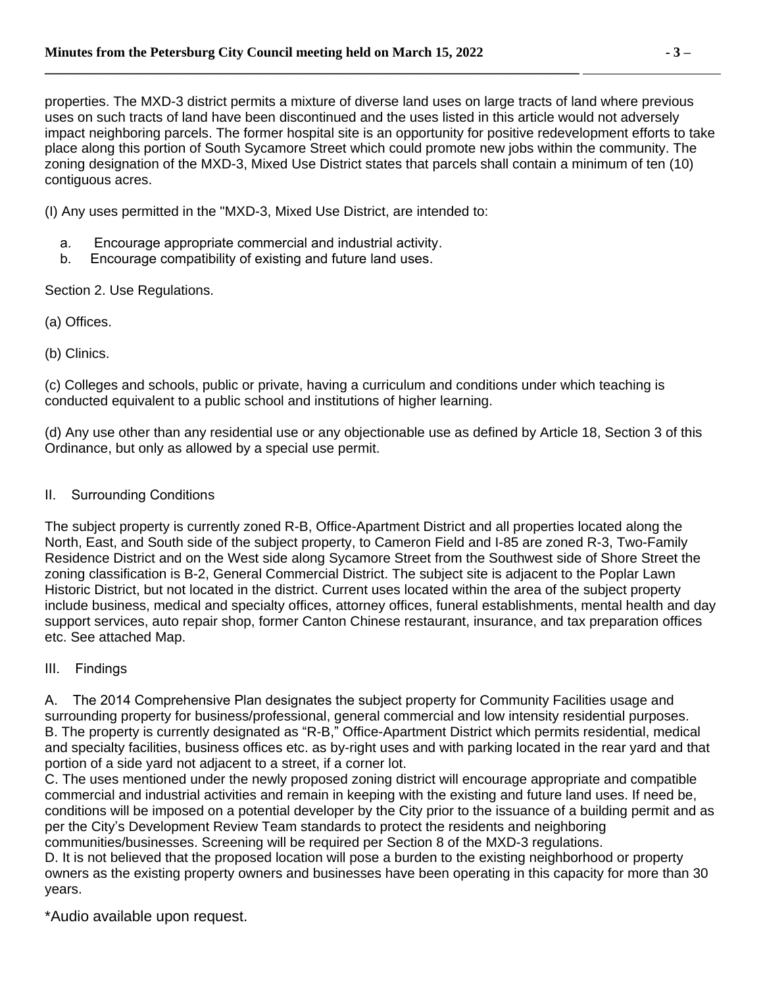properties. The MXD-3 district permits a mixture of diverse land uses on large tracts of land where previous uses on such tracts of land have been discontinued and the uses listed in this article would not adversely impact neighboring parcels. The former hospital site is an opportunity for positive redevelopment efforts to take place along this portion of South Sycamore Street which could promote new jobs within the community. The zoning designation of the MXD-3, Mixed Use District states that parcels shall contain a minimum of ten (10) contiguous acres.

(I) Any uses permitted in the "MXD-3, Mixed Use District, are intended to:

- a. Encourage appropriate commercial and industrial activity.
- b. Encourage compatibility of existing and future land uses.

Section 2. Use Regulations.

(a) Offices.

(b) Clinics.

(c) Colleges and schools, public or private, having a curriculum and conditions under which teaching is conducted equivalent to a public school and institutions of higher learning.

(d) Any use other than any residential use or any objectionable use as defined by Article 18, Section 3 of this Ordinance, but only as allowed by a special use permit.

# II. Surrounding Conditions

The subject property is currently zoned R-B, Office-Apartment District and all properties located along the North, East, and South side of the subject property, to Cameron Field and I-85 are zoned R-3, Two-Family Residence District and on the West side along Sycamore Street from the Southwest side of Shore Street the zoning classification is B-2, General Commercial District. The subject site is adjacent to the Poplar Lawn Historic District, but not located in the district. Current uses located within the area of the subject property include business, medical and specialty offices, attorney offices, funeral establishments, mental health and day support services, auto repair shop, former Canton Chinese restaurant, insurance, and tax preparation offices etc. See attached Map.

## III. Findings

A. The 2014 Comprehensive Plan designates the subject property for Community Facilities usage and surrounding property for business/professional, general commercial and low intensity residential purposes. B. The property is currently designated as "R-B," Office-Apartment District which permits residential, medical and specialty facilities, business offices etc. as by-right uses and with parking located in the rear yard and that portion of a side yard not adjacent to a street, if a corner lot.

C. The uses mentioned under the newly proposed zoning district will encourage appropriate and compatible commercial and industrial activities and remain in keeping with the existing and future land uses. If need be, conditions will be imposed on a potential developer by the City prior to the issuance of a building permit and as per the City's Development Review Team standards to protect the residents and neighboring communities/businesses. Screening will be required per Section 8 of the MXD-3 regulations.

D. It is not believed that the proposed location will pose a burden to the existing neighborhood or property owners as the existing property owners and businesses have been operating in this capacity for more than 30 years.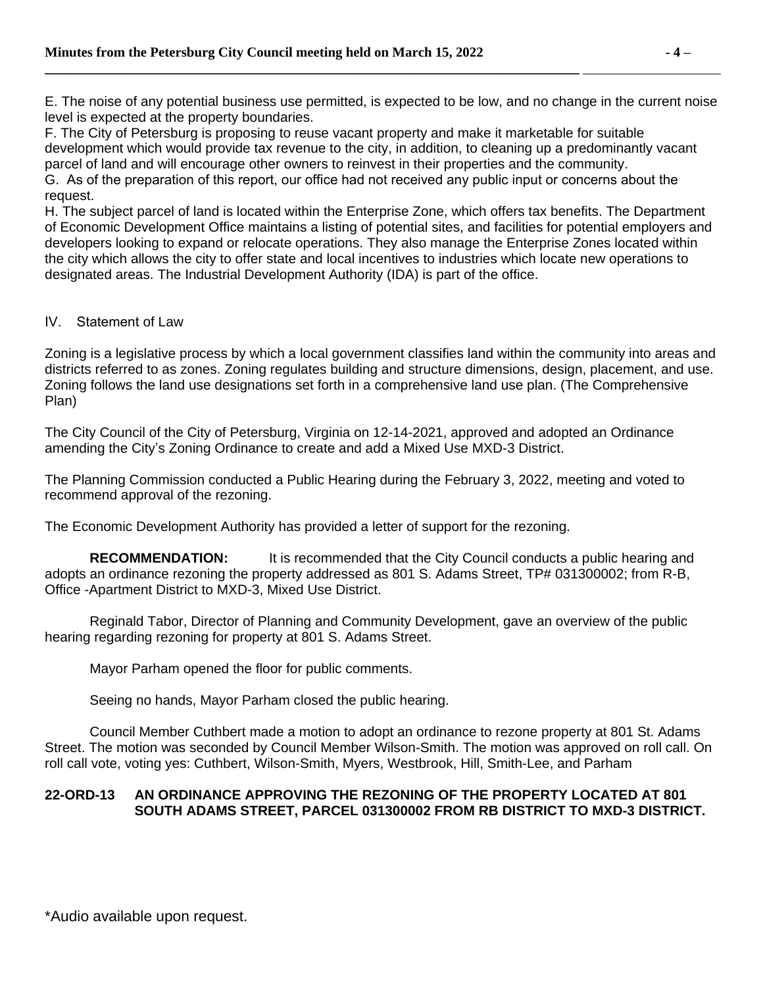E. The noise of any potential business use permitted, is expected to be low, and no change in the current noise level is expected at the property boundaries.

F. The City of Petersburg is proposing to reuse vacant property and make it marketable for suitable development which would provide tax revenue to the city, in addition, to cleaning up a predominantly vacant parcel of land and will encourage other owners to reinvest in their properties and the community. G. As of the preparation of this report, our office had not received any public input or concerns about the request.

H. The subject parcel of land is located within the Enterprise Zone, which offers tax benefits. The Department of Economic Development Office maintains a listing of potential sites, and facilities for potential employers and developers looking to expand or relocate operations. They also manage the Enterprise Zones located within the city which allows the city to offer state and local incentives to industries which locate new operations to designated areas. The Industrial Development Authority (IDA) is part of the office.

#### IV. Statement of Law

Zoning is a legislative process by which a local government classifies land within the community into areas and districts referred to as zones. Zoning regulates building and structure dimensions, design, placement, and use. Zoning follows the land use designations set forth in a comprehensive land use plan. (The Comprehensive Plan)

The City Council of the City of Petersburg, Virginia on 12-14-2021, approved and adopted an Ordinance amending the City's Zoning Ordinance to create and add a Mixed Use MXD-3 District.

The Planning Commission conducted a Public Hearing during the February 3, 2022, meeting and voted to recommend approval of the rezoning.

The Economic Development Authority has provided a letter of support for the rezoning.

**RECOMMENDATION:** It is recommended that the City Council conducts a public hearing and adopts an ordinance rezoning the property addressed as 801 S. Adams Street, TP# 031300002; from R-B, Office -Apartment District to MXD-3, Mixed Use District.

Reginald Tabor, Director of Planning and Community Development, gave an overview of the public hearing regarding rezoning for property at 801 S. Adams Street.

Mayor Parham opened the floor for public comments.

Seeing no hands, Mayor Parham closed the public hearing.

Council Member Cuthbert made a motion to adopt an ordinance to rezone property at 801 St. Adams Street. The motion was seconded by Council Member Wilson-Smith. The motion was approved on roll call. On roll call vote, voting yes: Cuthbert, Wilson-Smith, Myers, Westbrook, Hill, Smith-Lee, and Parham

#### **22-ORD-13 AN ORDINANCE APPROVING THE REZONING OF THE PROPERTY LOCATED AT 801 SOUTH ADAMS STREET, PARCEL 031300002 FROM RB DISTRICT TO MXD-3 DISTRICT.**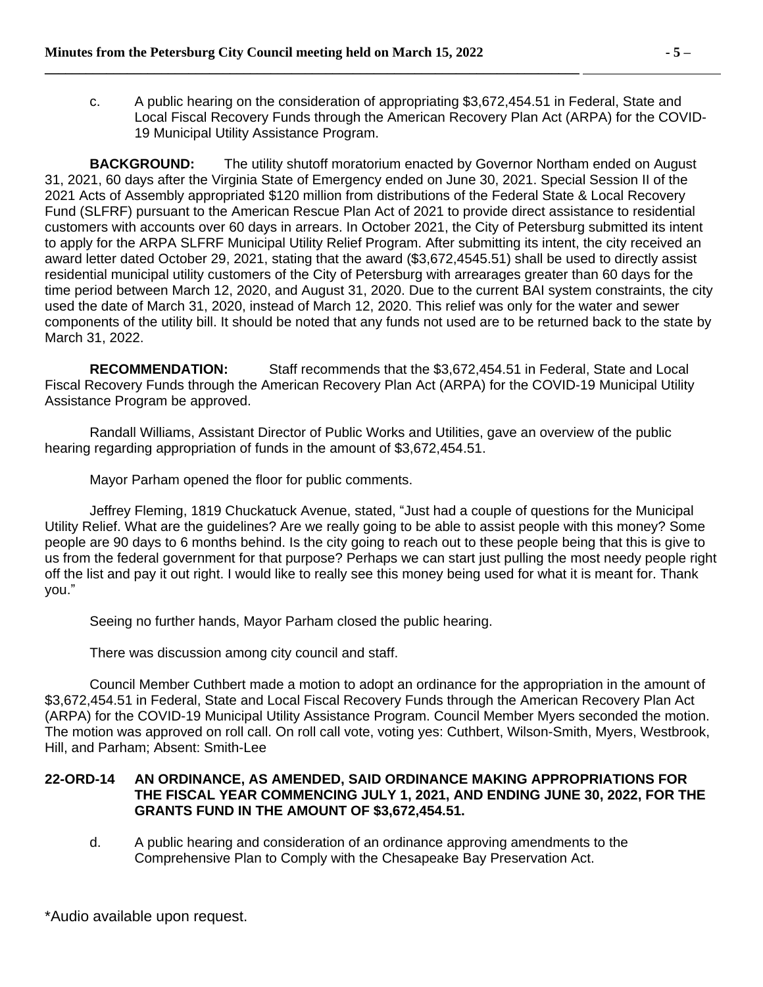c. A public hearing on the consideration of appropriating \$3,672,454.51 in Federal, State and Local Fiscal Recovery Funds through the American Recovery Plan Act (ARPA) for the COVID-19 Municipal Utility Assistance Program.

**BACKGROUND:** The utility shutoff moratorium enacted by Governor Northam ended on August 31, 2021, 60 days after the Virginia State of Emergency ended on June 30, 2021. Special Session II of the 2021 Acts of Assembly appropriated \$120 million from distributions of the Federal State & Local Recovery Fund (SLFRF) pursuant to the American Rescue Plan Act of 2021 to provide direct assistance to residential customers with accounts over 60 days in arrears. In October 2021, the City of Petersburg submitted its intent to apply for the ARPA SLFRF Municipal Utility Relief Program. After submitting its intent, the city received an award letter dated October 29, 2021, stating that the award (\$3,672,4545.51) shall be used to directly assist residential municipal utility customers of the City of Petersburg with arrearages greater than 60 days for the time period between March 12, 2020, and August 31, 2020. Due to the current BAI system constraints, the city used the date of March 31, 2020, instead of March 12, 2020. This relief was only for the water and sewer components of the utility bill. It should be noted that any funds not used are to be returned back to the state by March 31, 2022.

**RECOMMENDATION:** Staff recommends that the \$3,672,454.51 in Federal, State and Local Fiscal Recovery Funds through the American Recovery Plan Act (ARPA) for the COVID-19 Municipal Utility Assistance Program be approved.

Randall Williams, Assistant Director of Public Works and Utilities, gave an overview of the public hearing regarding appropriation of funds in the amount of \$3,672,454.51.

Mayor Parham opened the floor for public comments.

Jeffrey Fleming, 1819 Chuckatuck Avenue, stated, "Just had a couple of questions for the Municipal Utility Relief. What are the guidelines? Are we really going to be able to assist people with this money? Some people are 90 days to 6 months behind. Is the city going to reach out to these people being that this is give to us from the federal government for that purpose? Perhaps we can start just pulling the most needy people right off the list and pay it out right. I would like to really see this money being used for what it is meant for. Thank you."

Seeing no further hands, Mayor Parham closed the public hearing.

There was discussion among city council and staff.

Council Member Cuthbert made a motion to adopt an ordinance for the appropriation in the amount of \$3,672,454.51 in Federal, State and Local Fiscal Recovery Funds through the American Recovery Plan Act (ARPA) for the COVID-19 Municipal Utility Assistance Program. Council Member Myers seconded the motion. The motion was approved on roll call. On roll call vote, voting yes: Cuthbert, Wilson-Smith, Myers, Westbrook, Hill, and Parham; Absent: Smith-Lee

#### **22-ORD-14 AN ORDINANCE, AS AMENDED, SAID ORDINANCE MAKING APPROPRIATIONS FOR THE FISCAL YEAR COMMENCING JULY 1, 2021, AND ENDING JUNE 30, 2022, FOR THE GRANTS FUND IN THE AMOUNT OF \$3,672,454.51.**

d. A public hearing and consideration of an ordinance approving amendments to the Comprehensive Plan to Comply with the Chesapeake Bay Preservation Act.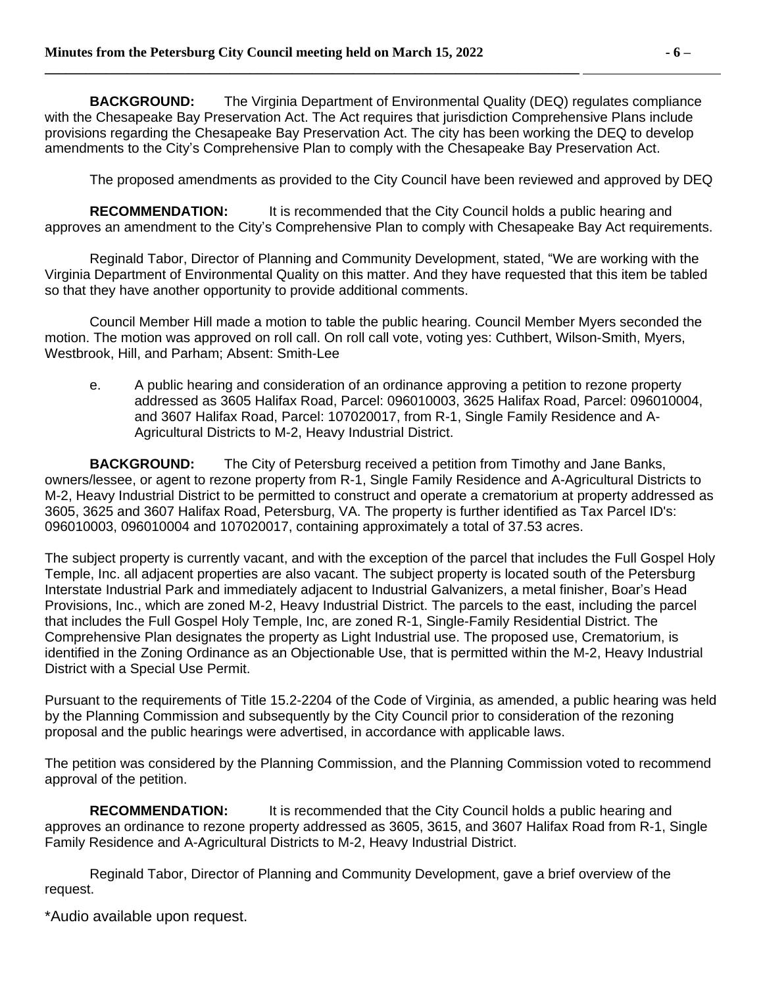**BACKGROUND:** The Virginia Department of Environmental Quality (DEQ) regulates compliance with the Chesapeake Bay Preservation Act. The Act requires that jurisdiction Comprehensive Plans include provisions regarding the Chesapeake Bay Preservation Act. The city has been working the DEQ to develop amendments to the City's Comprehensive Plan to comply with the Chesapeake Bay Preservation Act.

The proposed amendments as provided to the City Council have been reviewed and approved by DEQ

**RECOMMENDATION:** It is recommended that the City Council holds a public hearing and approves an amendment to the City's Comprehensive Plan to comply with Chesapeake Bay Act requirements.

Reginald Tabor, Director of Planning and Community Development, stated, "We are working with the Virginia Department of Environmental Quality on this matter. And they have requested that this item be tabled so that they have another opportunity to provide additional comments.

Council Member Hill made a motion to table the public hearing. Council Member Myers seconded the motion. The motion was approved on roll call. On roll call vote, voting yes: Cuthbert, Wilson-Smith, Myers, Westbrook, Hill, and Parham; Absent: Smith-Lee

e. A public hearing and consideration of an ordinance approving a petition to rezone property addressed as 3605 Halifax Road, Parcel: 096010003, 3625 Halifax Road, Parcel: 096010004, and 3607 Halifax Road, Parcel: 107020017, from R-1, Single Family Residence and A-Agricultural Districts to M-2, Heavy Industrial District.

**BACKGROUND:** The City of Petersburg received a petition from Timothy and Jane Banks, owners/lessee, or agent to rezone property from R-1, Single Family Residence and A-Agricultural Districts to M-2, Heavy Industrial District to be permitted to construct and operate a crematorium at property addressed as 3605, 3625 and 3607 Halifax Road, Petersburg, VA. The property is further identified as Tax Parcel ID's: 096010003, 096010004 and 107020017, containing approximately a total of 37.53 acres.

The subject property is currently vacant, and with the exception of the parcel that includes the Full Gospel Holy Temple, Inc. all adjacent properties are also vacant. The subject property is located south of the Petersburg Interstate Industrial Park and immediately adjacent to Industrial Galvanizers, a metal finisher, Boar's Head Provisions, Inc., which are zoned M-2, Heavy Industrial District. The parcels to the east, including the parcel that includes the Full Gospel Holy Temple, Inc, are zoned R-1, Single-Family Residential District. The Comprehensive Plan designates the property as Light Industrial use. The proposed use, Crematorium, is identified in the Zoning Ordinance as an Objectionable Use, that is permitted within the M-2, Heavy Industrial District with a Special Use Permit.

Pursuant to the requirements of Title 15.2-2204 of the Code of Virginia, as amended, a public hearing was held by the Planning Commission and subsequently by the City Council prior to consideration of the rezoning proposal and the public hearings were advertised, in accordance with applicable laws.

The petition was considered by the Planning Commission, and the Planning Commission voted to recommend approval of the petition.

**RECOMMENDATION:** It is recommended that the City Council holds a public hearing and approves an ordinance to rezone property addressed as 3605, 3615, and 3607 Halifax Road from R-1, Single Family Residence and A-Agricultural Districts to M-2, Heavy Industrial District.

Reginald Tabor, Director of Planning and Community Development, gave a brief overview of the request.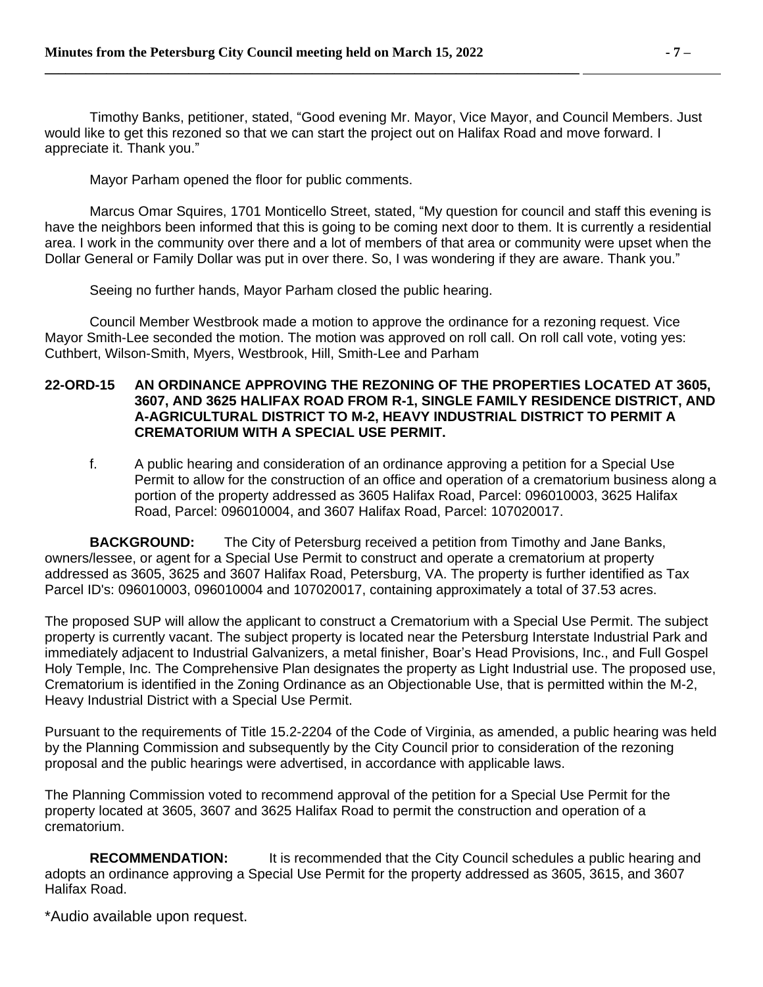Timothy Banks, petitioner, stated, "Good evening Mr. Mayor, Vice Mayor, and Council Members. Just would like to get this rezoned so that we can start the project out on Halifax Road and move forward. I appreciate it. Thank you."

Mayor Parham opened the floor for public comments.

Marcus Omar Squires, 1701 Monticello Street, stated, "My question for council and staff this evening is have the neighbors been informed that this is going to be coming next door to them. It is currently a residential area. I work in the community over there and a lot of members of that area or community were upset when the Dollar General or Family Dollar was put in over there. So, I was wondering if they are aware. Thank you."

Seeing no further hands, Mayor Parham closed the public hearing.

Council Member Westbrook made a motion to approve the ordinance for a rezoning request. Vice Mayor Smith-Lee seconded the motion. The motion was approved on roll call. On roll call vote, voting yes: Cuthbert, Wilson-Smith, Myers, Westbrook, Hill, Smith-Lee and Parham

#### **22-ORD-15 AN ORDINANCE APPROVING THE REZONING OF THE PROPERTIES LOCATED AT 3605, 3607, AND 3625 HALIFAX ROAD FROM R-1, SINGLE FAMILY RESIDENCE DISTRICT, AND A-AGRICULTURAL DISTRICT TO M-2, HEAVY INDUSTRIAL DISTRICT TO PERMIT A CREMATORIUM WITH A SPECIAL USE PERMIT.**

f. A public hearing and consideration of an ordinance approving a petition for a Special Use Permit to allow for the construction of an office and operation of a crematorium business along a portion of the property addressed as 3605 Halifax Road, Parcel: 096010003, 3625 Halifax Road, Parcel: 096010004, and 3607 Halifax Road, Parcel: 107020017.

**BACKGROUND:** The City of Petersburg received a petition from Timothy and Jane Banks, owners/lessee, or agent for a Special Use Permit to construct and operate a crematorium at property addressed as 3605, 3625 and 3607 Halifax Road, Petersburg, VA. The property is further identified as Tax Parcel ID's: 096010003, 096010004 and 107020017, containing approximately a total of 37.53 acres.

The proposed SUP will allow the applicant to construct a Crematorium with a Special Use Permit. The subject property is currently vacant. The subject property is located near the Petersburg Interstate Industrial Park and immediately adjacent to Industrial Galvanizers, a metal finisher, Boar's Head Provisions, Inc., and Full Gospel Holy Temple, Inc. The Comprehensive Plan designates the property as Light Industrial use. The proposed use, Crematorium is identified in the Zoning Ordinance as an Objectionable Use, that is permitted within the M-2, Heavy Industrial District with a Special Use Permit.

Pursuant to the requirements of Title 15.2-2204 of the Code of Virginia, as amended, a public hearing was held by the Planning Commission and subsequently by the City Council prior to consideration of the rezoning proposal and the public hearings were advertised, in accordance with applicable laws.

The Planning Commission voted to recommend approval of the petition for a Special Use Permit for the property located at 3605, 3607 and 3625 Halifax Road to permit the construction and operation of a crematorium.

**RECOMMENDATION:** It is recommended that the City Council schedules a public hearing and adopts an ordinance approving a Special Use Permit for the property addressed as 3605, 3615, and 3607 Halifax Road.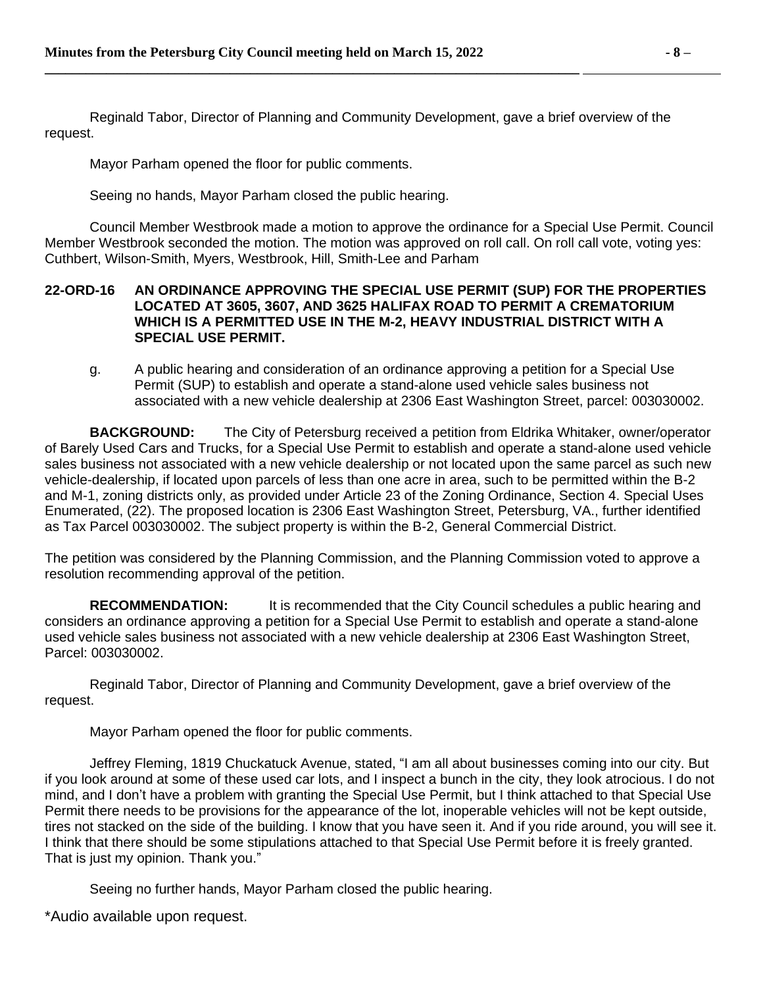Reginald Tabor, Director of Planning and Community Development, gave a brief overview of the request.

**\_\_\_\_\_\_\_\_\_\_\_\_\_\_\_\_\_\_\_\_\_\_\_\_\_\_\_\_\_\_\_\_\_\_\_\_\_\_\_\_\_\_\_\_\_\_\_\_\_\_\_\_\_\_\_\_\_\_\_\_\_\_\_\_\_\_\_\_\_\_\_\_\_\_\_\_\_\_** 

Mayor Parham opened the floor for public comments.

Seeing no hands, Mayor Parham closed the public hearing.

Council Member Westbrook made a motion to approve the ordinance for a Special Use Permit. Council Member Westbrook seconded the motion. The motion was approved on roll call. On roll call vote, voting yes: Cuthbert, Wilson-Smith, Myers, Westbrook, Hill, Smith-Lee and Parham

#### **22-ORD-16 AN ORDINANCE APPROVING THE SPECIAL USE PERMIT (SUP) FOR THE PROPERTIES LOCATED AT 3605, 3607, AND 3625 HALIFAX ROAD TO PERMIT A CREMATORIUM WHICH IS A PERMITTED USE IN THE M-2, HEAVY INDUSTRIAL DISTRICT WITH A SPECIAL USE PERMIT.**

g. A public hearing and consideration of an ordinance approving a petition for a Special Use Permit (SUP) to establish and operate a stand-alone used vehicle sales business not associated with a new vehicle dealership at 2306 East Washington Street, parcel: 003030002.

**BACKGROUND:** The City of Petersburg received a petition from Eldrika Whitaker, owner/operator of Barely Used Cars and Trucks, for a Special Use Permit to establish and operate a stand-alone used vehicle sales business not associated with a new vehicle dealership or not located upon the same parcel as such new vehicle-dealership, if located upon parcels of less than one acre in area, such to be permitted within the B-2 and M-1, zoning districts only, as provided under Article 23 of the Zoning Ordinance, Section 4. Special Uses Enumerated, (22). The proposed location is 2306 East Washington Street, Petersburg, VA., further identified as Tax Parcel 003030002. The subject property is within the B-2, General Commercial District.

The petition was considered by the Planning Commission, and the Planning Commission voted to approve a resolution recommending approval of the petition.

**RECOMMENDATION:** It is recommended that the City Council schedules a public hearing and considers an ordinance approving a petition for a Special Use Permit to establish and operate a stand-alone used vehicle sales business not associated with a new vehicle dealership at 2306 East Washington Street, Parcel: 003030002.

Reginald Tabor, Director of Planning and Community Development, gave a brief overview of the request.

Mayor Parham opened the floor for public comments.

Jeffrey Fleming, 1819 Chuckatuck Avenue, stated, "I am all about businesses coming into our city. But if you look around at some of these used car lots, and I inspect a bunch in the city, they look atrocious. I do not mind, and I don't have a problem with granting the Special Use Permit, but I think attached to that Special Use Permit there needs to be provisions for the appearance of the lot, inoperable vehicles will not be kept outside, tires not stacked on the side of the building. I know that you have seen it. And if you ride around, you will see it. I think that there should be some stipulations attached to that Special Use Permit before it is freely granted. That is just my opinion. Thank you."

Seeing no further hands, Mayor Parham closed the public hearing.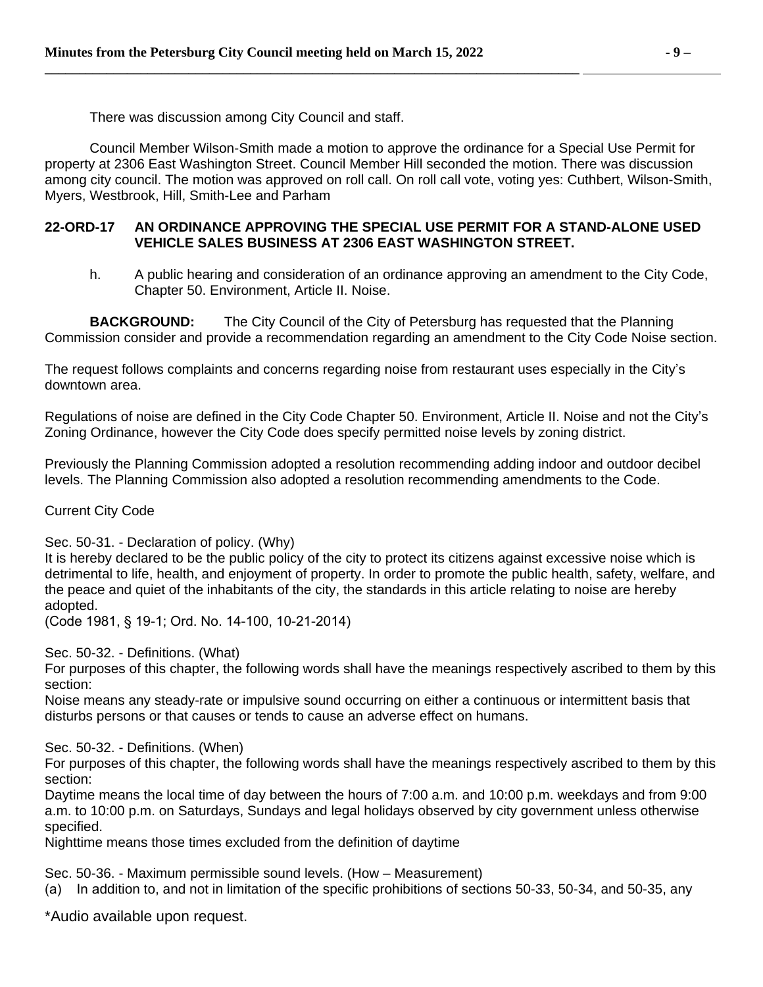There was discussion among City Council and staff.

Council Member Wilson-Smith made a motion to approve the ordinance for a Special Use Permit for property at 2306 East Washington Street. Council Member Hill seconded the motion. There was discussion among city council. The motion was approved on roll call. On roll call vote, voting yes: Cuthbert, Wilson-Smith, Myers, Westbrook, Hill, Smith-Lee and Parham

# **22-ORD-17 AN ORDINANCE APPROVING THE SPECIAL USE PERMIT FOR A STAND-ALONE USED VEHICLE SALES BUSINESS AT 2306 EAST WASHINGTON STREET.**

h. A public hearing and consideration of an ordinance approving an amendment to the City Code, Chapter 50. Environment, Article II. Noise.

**BACKGROUND:** The City Council of the City of Petersburg has requested that the Planning Commission consider and provide a recommendation regarding an amendment to the City Code Noise section.

The request follows complaints and concerns regarding noise from restaurant uses especially in the City's downtown area.

Regulations of noise are defined in the City Code Chapter 50. Environment, Article II. Noise and not the City's Zoning Ordinance, however the City Code does specify permitted noise levels by zoning district.

Previously the Planning Commission adopted a resolution recommending adding indoor and outdoor decibel levels. The Planning Commission also adopted a resolution recommending amendments to the Code.

Current City Code

## Sec. 50-31. - Declaration of policy. (Why)

It is hereby declared to be the public policy of the city to protect its citizens against excessive noise which is detrimental to life, health, and enjoyment of property. In order to promote the public health, safety, welfare, and the peace and quiet of the inhabitants of the city, the standards in this article relating to noise are hereby adopted.

(Code 1981, § 19-1; Ord. No. 14-100, 10-21-2014)

Sec. 50-32. - Definitions. (What)

For purposes of this chapter, the following words shall have the meanings respectively ascribed to them by this section:

Noise means any steady-rate or impulsive sound occurring on either a continuous or intermittent basis that disturbs persons or that causes or tends to cause an adverse effect on humans.

# Sec. 50-32. - Definitions. (When)

For purposes of this chapter, the following words shall have the meanings respectively ascribed to them by this section:

Daytime means the local time of day between the hours of 7:00 a.m. and 10:00 p.m. weekdays and from 9:00 a.m. to 10:00 p.m. on Saturdays, Sundays and legal holidays observed by city government unless otherwise specified.

Nighttime means those times excluded from the definition of daytime

Sec. 50-36. - Maximum permissible sound levels. (How – Measurement)

(a) In addition to, and not in limitation of the specific prohibitions of sections 50-33, 50-34, and 50-35, any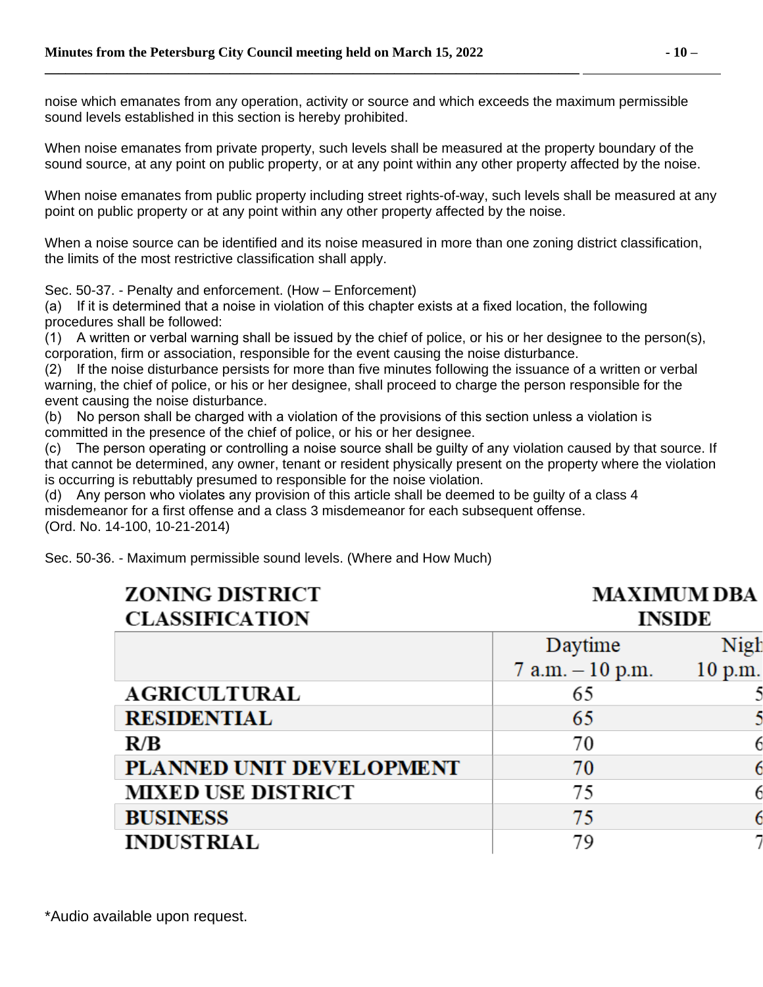noise which emanates from any operation, activity or source and which exceeds the maximum permissible sound levels established in this section is hereby prohibited.

When noise emanates from private property, such levels shall be measured at the property boundary of the sound source, at any point on public property, or at any point within any other property affected by the noise.

When noise emanates from public property including street rights-of-way, such levels shall be measured at any point on public property or at any point within any other property affected by the noise.

When a noise source can be identified and its noise measured in more than one zoning district classification, the limits of the most restrictive classification shall apply.

Sec. 50-37. - Penalty and enforcement. (How – Enforcement)

(a) If it is determined that a noise in violation of this chapter exists at a fixed location, the following procedures shall be followed:

(1) A written or verbal warning shall be issued by the chief of police, or his or her designee to the person(s), corporation, firm or association, responsible for the event causing the noise disturbance.

(2) If the noise disturbance persists for more than five minutes following the issuance of a written or verbal warning, the chief of police, or his or her designee, shall proceed to charge the person responsible for the event causing the noise disturbance.

(b) No person shall be charged with a violation of the provisions of this section unless a violation is committed in the presence of the chief of police, or his or her designee.

(c) The person operating or controlling a noise source shall be guilty of any violation caused by that source. If that cannot be determined, any owner, tenant or resident physically present on the property where the violation is occurring is rebuttably presumed to responsible for the noise violation.

(d) Any person who violates any provision of this article shall be deemed to be guilty of a class 4 misdemeanor for a first offense and a class 3 misdemeanor for each subsequent offense. (Ord. No. 14-100, 10-21-2014)

Sec. 50-36. - Maximum permissible sound levels. (Where and How Much)

| <b>ZONING DISTRICT</b><br><b>CLASSIFICATION</b> | <b>MAXIMUM DBA</b><br><b>INSIDE</b> |           |  |
|-------------------------------------------------|-------------------------------------|-----------|--|
|                                                 | Daytime                             | Nigh      |  |
|                                                 | $7$ a.m. $-10$ p.m.                 | $10$ p.m. |  |
| <b>AGRICULTURAL</b>                             | 65                                  |           |  |
| <b>RESIDENTIAL</b>                              | 65                                  |           |  |
| R/B                                             | 70                                  |           |  |
| PLANNED UNIT DEVELOPMENT                        | 70                                  |           |  |
| <b>MIXED USE DISTRICT</b>                       | 75                                  |           |  |
| <b>BUSINESS</b>                                 | 75                                  |           |  |
| <b>INDUSTRIAL</b>                               | 79                                  |           |  |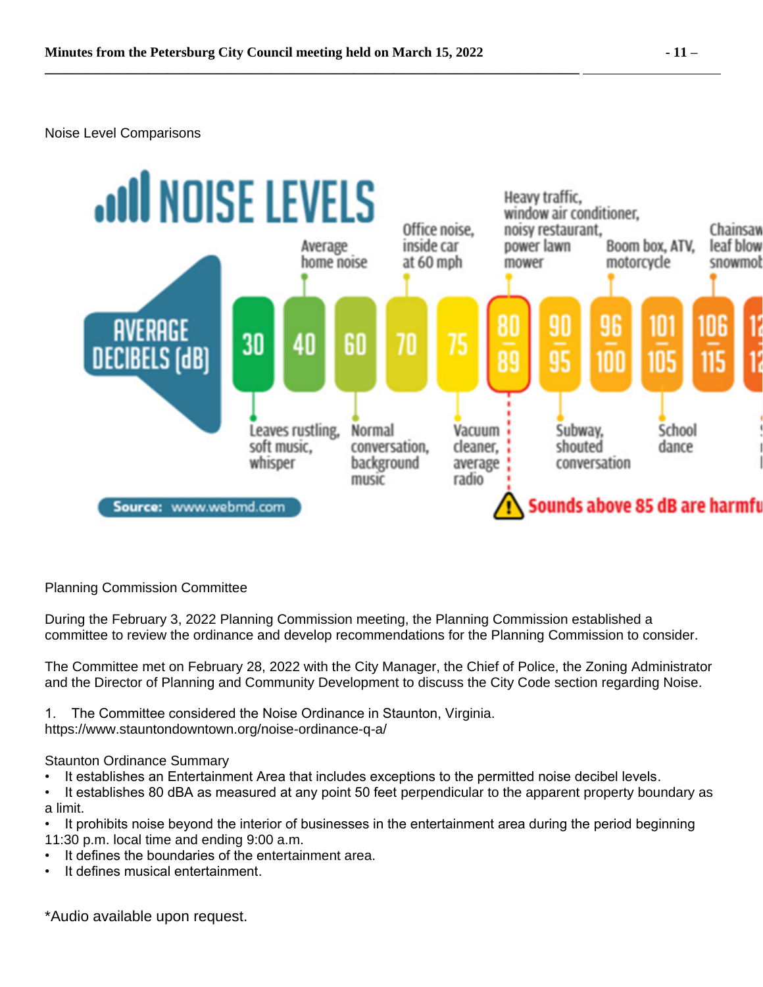#### Noise Level Comparisons



Planning Commission Committee

During the February 3, 2022 Planning Commission meeting, the Planning Commission established a committee to review the ordinance and develop recommendations for the Planning Commission to consider.

The Committee met on February 28, 2022 with the City Manager, the Chief of Police, the Zoning Administrator and the Director of Planning and Community Development to discuss the City Code section regarding Noise.

1. The Committee considered the Noise Ordinance in Staunton, Virginia.

https://www.stauntondowntown.org/noise-ordinance-q-a/

## Staunton Ordinance Summary

- It establishes an Entertainment Area that includes exceptions to the permitted noise decibel levels.
- It establishes 80 dBA as measured at any point 50 feet perpendicular to the apparent property boundary as a limit.
- It prohibits noise beyond the interior of businesses in the entertainment area during the period beginning 11:30 p.m. local time and ending 9:00 a.m.
- It defines the boundaries of the entertainment area.
- It defines musical entertainment.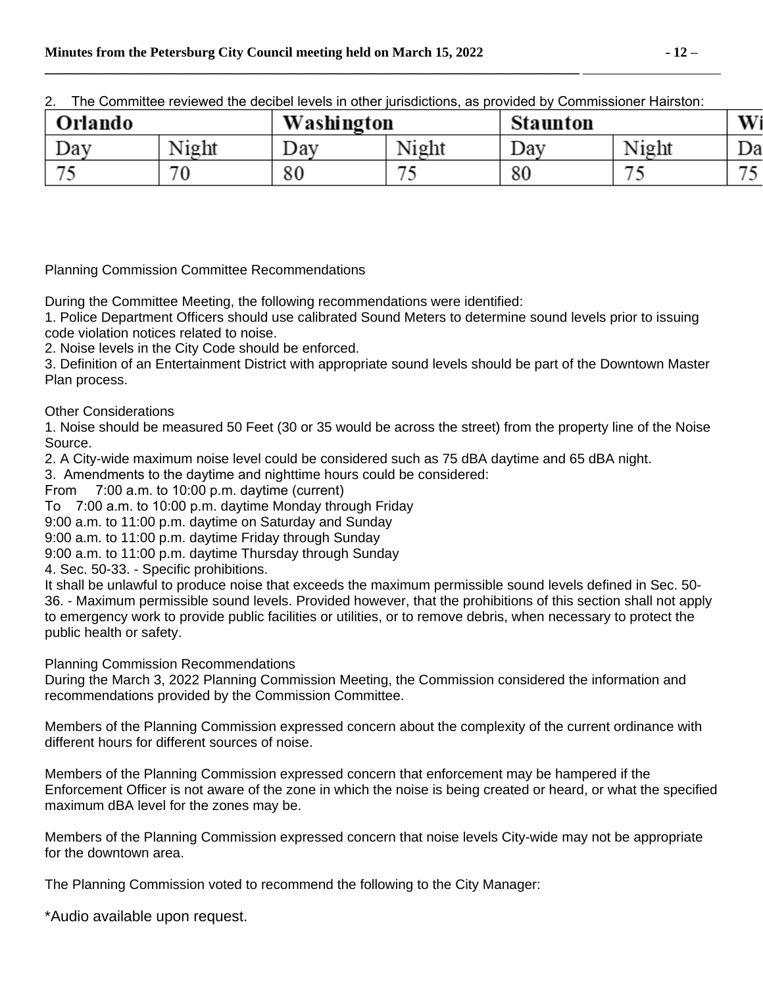| <u>LIIC OOIIIIIIIIIICC FEVICWCU IIIC UCCIDEI ICVEIS III UIFICI JUHSUICIIOHS, AS DIUVIUCU DY OOIIIIIIIIISSIUHEI FIAILSIUH.</u> |       |            |       |                 |       |    |  |  |
|-------------------------------------------------------------------------------------------------------------------------------|-------|------------|-------|-----------------|-------|----|--|--|
| Orlando                                                                                                                       |       | Washington |       | <b>Staunton</b> |       |    |  |  |
| Day                                                                                                                           | Night | Dav        | Night | Dav             | Night | Da |  |  |
|                                                                                                                               |       | 80         |       | 80              |       |    |  |  |

2. The Committee reviewed the decibel levels in other jurisdictions, as provided by Commissioner Hairston:

Planning Commission Committee Recommendations

During the Committee Meeting, the following recommendations were identified:

1. Police Department Officers should use calibrated Sound Meters to determine sound levels prior to issuing code violation notices related to noise.

2. Noise levels in the City Code should be enforced.

3. Definition of an Entertainment District with appropriate sound levels should be part of the Downtown Master Plan process.

Other Considerations

1. Noise should be measured 50 Feet (30 or 35 would be across the street) from the property line of the Noise Source.

2. A City-wide maximum noise level could be considered such as 75 dBA daytime and 65 dBA night.

3. Amendments to the daytime and nighttime hours could be considered:

From 7:00 a.m. to 10:00 p.m. daytime (current)

To 7:00 a.m. to 10:00 p.m. daytime Monday through Friday

9:00 a.m. to 11:00 p.m. daytime on Saturday and Sunday

9:00 a.m. to 11:00 p.m. daytime Friday through Sunday

9:00 a.m. to 11:00 p.m. daytime Thursday through Sunday

4. Sec. 50-33. - Specific prohibitions.

It shall be unlawful to produce noise that exceeds the maximum permissible sound levels defined in Sec. 50- 36. - Maximum permissible sound levels. Provided however, that the prohibitions of this section shall not apply to emergency work to provide public facilities or utilities, or to remove debris, when necessary to protect the public health or safety.

Planning Commission Recommendations

During the March 3, 2022 Planning Commission Meeting, the Commission considered the information and recommendations provided by the Commission Committee.

Members of the Planning Commission expressed concern about the complexity of the current ordinance with different hours for different sources of noise.

Members of the Planning Commission expressed concern that enforcement may be hampered if the Enforcement Officer is not aware of the zone in which the noise is being created or heard, or what the specified maximum dBA level for the zones may be.

Members of the Planning Commission expressed concern that noise levels City-wide may not be appropriate for the downtown area.

The Planning Commission voted to recommend the following to the City Manager: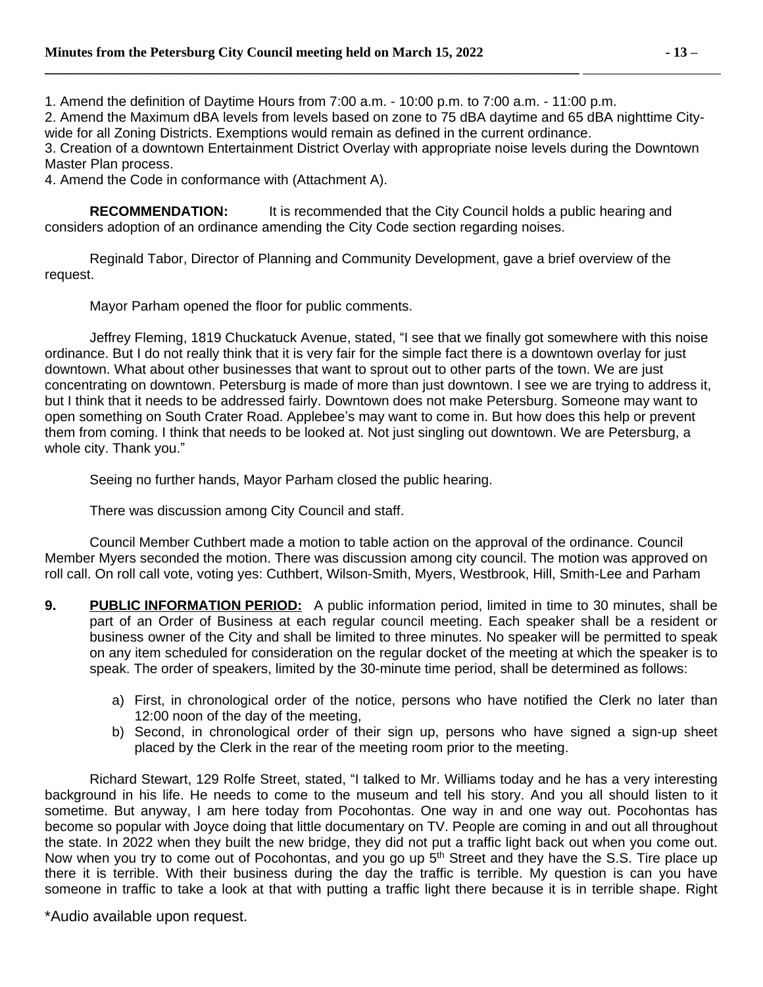1. Amend the definition of Daytime Hours from 7:00 a.m. - 10:00 p.m. to 7:00 a.m. - 11:00 p.m.

**\_\_\_\_\_\_\_\_\_\_\_\_\_\_\_\_\_\_\_\_\_\_\_\_\_\_\_\_\_\_\_\_\_\_\_\_\_\_\_\_\_\_\_\_\_\_\_\_\_\_\_\_\_\_\_\_\_\_\_\_\_\_\_\_\_\_\_\_\_\_\_\_\_\_\_\_\_\_** 

2. Amend the Maximum dBA levels from levels based on zone to 75 dBA daytime and 65 dBA nighttime Citywide for all Zoning Districts. Exemptions would remain as defined in the current ordinance.

3. Creation of a downtown Entertainment District Overlay with appropriate noise levels during the Downtown Master Plan process.

4. Amend the Code in conformance with (Attachment A).

**RECOMMENDATION:** It is recommended that the City Council holds a public hearing and considers adoption of an ordinance amending the City Code section regarding noises.

Reginald Tabor, Director of Planning and Community Development, gave a brief overview of the request.

Mayor Parham opened the floor for public comments.

Jeffrey Fleming, 1819 Chuckatuck Avenue, stated, "I see that we finally got somewhere with this noise ordinance. But I do not really think that it is very fair for the simple fact there is a downtown overlay for just downtown. What about other businesses that want to sprout out to other parts of the town. We are just concentrating on downtown. Petersburg is made of more than just downtown. I see we are trying to address it, but I think that it needs to be addressed fairly. Downtown does not make Petersburg. Someone may want to open something on South Crater Road. Applebee's may want to come in. But how does this help or prevent them from coming. I think that needs to be looked at. Not just singling out downtown. We are Petersburg, a whole city. Thank you."

Seeing no further hands, Mayor Parham closed the public hearing.

There was discussion among City Council and staff.

Council Member Cuthbert made a motion to table action on the approval of the ordinance. Council Member Myers seconded the motion. There was discussion among city council. The motion was approved on roll call. On roll call vote, voting yes: Cuthbert, Wilson-Smith, Myers, Westbrook, Hill, Smith-Lee and Parham

- **9. PUBLIC INFORMATION PERIOD:** A public information period, limited in time to 30 minutes, shall be part of an Order of Business at each regular council meeting. Each speaker shall be a resident or business owner of the City and shall be limited to three minutes. No speaker will be permitted to speak on any item scheduled for consideration on the regular docket of the meeting at which the speaker is to speak. The order of speakers, limited by the 30-minute time period, shall be determined as follows:
	- a) First, in chronological order of the notice, persons who have notified the Clerk no later than 12:00 noon of the day of the meeting,
	- b) Second, in chronological order of their sign up, persons who have signed a sign-up sheet placed by the Clerk in the rear of the meeting room prior to the meeting.

Richard Stewart, 129 Rolfe Street, stated, "I talked to Mr. Williams today and he has a very interesting background in his life. He needs to come to the museum and tell his story. And you all should listen to it sometime. But anyway, I am here today from Pocohontas. One way in and one way out. Pocohontas has become so popular with Joyce doing that little documentary on TV. People are coming in and out all throughout the state. In 2022 when they built the new bridge, they did not put a traffic light back out when you come out. Now when you try to come out of Pocohontas, and you go up 5<sup>th</sup> Street and they have the S.S. Tire place up there it is terrible. With their business during the day the traffic is terrible. My question is can you have someone in traffic to take a look at that with putting a traffic light there because it is in terrible shape. Right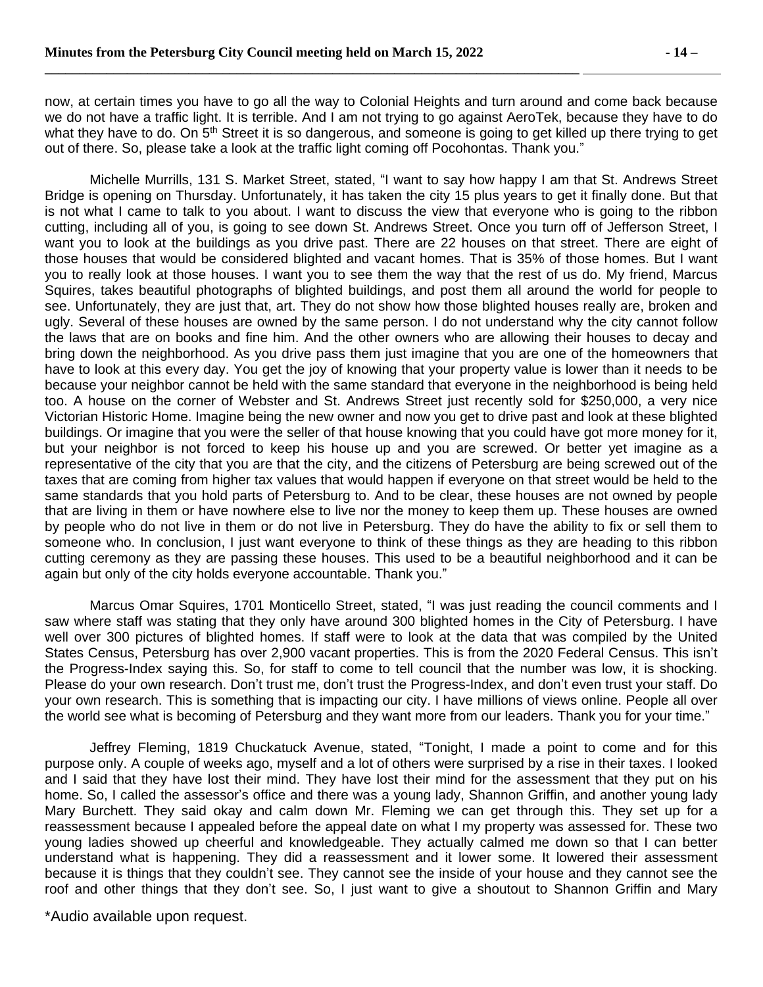now, at certain times you have to go all the way to Colonial Heights and turn around and come back because we do not have a traffic light. It is terrible. And I am not trying to go against AeroTek, because they have to do what they have to do. On 5<sup>th</sup> Street it is so dangerous, and someone is going to get killed up there trying to get out of there. So, please take a look at the traffic light coming off Pocohontas. Thank you."

Michelle Murrills, 131 S. Market Street, stated, "I want to say how happy I am that St. Andrews Street Bridge is opening on Thursday. Unfortunately, it has taken the city 15 plus years to get it finally done. But that is not what I came to talk to you about. I want to discuss the view that everyone who is going to the ribbon cutting, including all of you, is going to see down St. Andrews Street. Once you turn off of Jefferson Street, I want you to look at the buildings as you drive past. There are 22 houses on that street. There are eight of those houses that would be considered blighted and vacant homes. That is 35% of those homes. But I want you to really look at those houses. I want you to see them the way that the rest of us do. My friend, Marcus Squires, takes beautiful photographs of blighted buildings, and post them all around the world for people to see. Unfortunately, they are just that, art. They do not show how those blighted houses really are, broken and ugly. Several of these houses are owned by the same person. I do not understand why the city cannot follow the laws that are on books and fine him. And the other owners who are allowing their houses to decay and bring down the neighborhood. As you drive pass them just imagine that you are one of the homeowners that have to look at this every day. You get the joy of knowing that your property value is lower than it needs to be because your neighbor cannot be held with the same standard that everyone in the neighborhood is being held too. A house on the corner of Webster and St. Andrews Street just recently sold for \$250,000, a very nice Victorian Historic Home. Imagine being the new owner and now you get to drive past and look at these blighted buildings. Or imagine that you were the seller of that house knowing that you could have got more money for it, but your neighbor is not forced to keep his house up and you are screwed. Or better yet imagine as a representative of the city that you are that the city, and the citizens of Petersburg are being screwed out of the taxes that are coming from higher tax values that would happen if everyone on that street would be held to the same standards that you hold parts of Petersburg to. And to be clear, these houses are not owned by people that are living in them or have nowhere else to live nor the money to keep them up. These houses are owned by people who do not live in them or do not live in Petersburg. They do have the ability to fix or sell them to someone who. In conclusion, I just want everyone to think of these things as they are heading to this ribbon cutting ceremony as they are passing these houses. This used to be a beautiful neighborhood and it can be again but only of the city holds everyone accountable. Thank you."

Marcus Omar Squires, 1701 Monticello Street, stated, "I was just reading the council comments and I saw where staff was stating that they only have around 300 blighted homes in the City of Petersburg. I have well over 300 pictures of blighted homes. If staff were to look at the data that was compiled by the United States Census, Petersburg has over 2,900 vacant properties. This is from the 2020 Federal Census. This isn't the Progress-Index saying this. So, for staff to come to tell council that the number was low, it is shocking. Please do your own research. Don't trust me, don't trust the Progress-Index, and don't even trust your staff. Do your own research. This is something that is impacting our city. I have millions of views online. People all over the world see what is becoming of Petersburg and they want more from our leaders. Thank you for your time."

Jeffrey Fleming, 1819 Chuckatuck Avenue, stated, "Tonight, I made a point to come and for this purpose only. A couple of weeks ago, myself and a lot of others were surprised by a rise in their taxes. I looked and I said that they have lost their mind. They have lost their mind for the assessment that they put on his home. So, I called the assessor's office and there was a young lady, Shannon Griffin, and another young lady Mary Burchett. They said okay and calm down Mr. Fleming we can get through this. They set up for a reassessment because I appealed before the appeal date on what I my property was assessed for. These two young ladies showed up cheerful and knowledgeable. They actually calmed me down so that I can better understand what is happening. They did a reassessment and it lower some. It lowered their assessment because it is things that they couldn't see. They cannot see the inside of your house and they cannot see the roof and other things that they don't see. So, I just want to give a shoutout to Shannon Griffin and Mary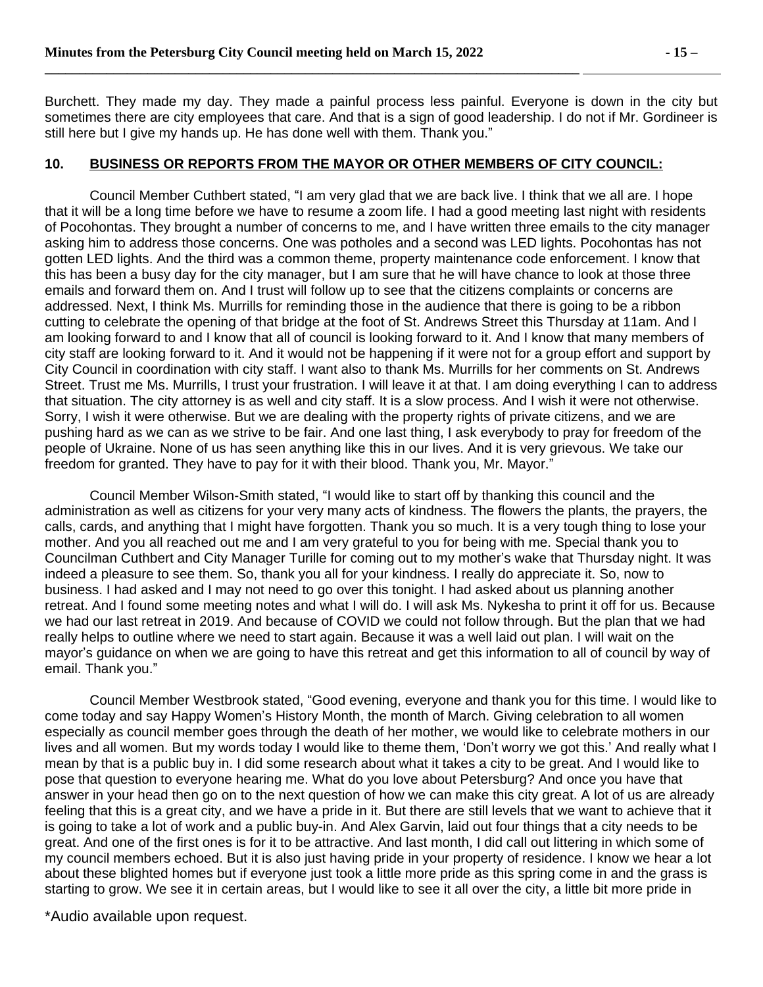Burchett. They made my day. They made a painful process less painful. Everyone is down in the city but sometimes there are city employees that care. And that is a sign of good leadership. I do not if Mr. Gordineer is still here but I give my hands up. He has done well with them. Thank you."

#### **10. BUSINESS OR REPORTS FROM THE MAYOR OR OTHER MEMBERS OF CITY COUNCIL:**

Council Member Cuthbert stated, "I am very glad that we are back live. I think that we all are. I hope that it will be a long time before we have to resume a zoom life. I had a good meeting last night with residents of Pocohontas. They brought a number of concerns to me, and I have written three emails to the city manager asking him to address those concerns. One was potholes and a second was LED lights. Pocohontas has not gotten LED lights. And the third was a common theme, property maintenance code enforcement. I know that this has been a busy day for the city manager, but I am sure that he will have chance to look at those three emails and forward them on. And I trust will follow up to see that the citizens complaints or concerns are addressed. Next, I think Ms. Murrills for reminding those in the audience that there is going to be a ribbon cutting to celebrate the opening of that bridge at the foot of St. Andrews Street this Thursday at 11am. And I am looking forward to and I know that all of council is looking forward to it. And I know that many members of city staff are looking forward to it. And it would not be happening if it were not for a group effort and support by City Council in coordination with city staff. I want also to thank Ms. Murrills for her comments on St. Andrews Street. Trust me Ms. Murrills, I trust your frustration. I will leave it at that. I am doing everything I can to address that situation. The city attorney is as well and city staff. It is a slow process. And I wish it were not otherwise. Sorry, I wish it were otherwise. But we are dealing with the property rights of private citizens, and we are pushing hard as we can as we strive to be fair. And one last thing, I ask everybody to pray for freedom of the people of Ukraine. None of us has seen anything like this in our lives. And it is very grievous. We take our freedom for granted. They have to pay for it with their blood. Thank you, Mr. Mayor."

Council Member Wilson-Smith stated, "I would like to start off by thanking this council and the administration as well as citizens for your very many acts of kindness. The flowers the plants, the prayers, the calls, cards, and anything that I might have forgotten. Thank you so much. It is a very tough thing to lose your mother. And you all reached out me and I am very grateful to you for being with me. Special thank you to Councilman Cuthbert and City Manager Turille for coming out to my mother's wake that Thursday night. It was indeed a pleasure to see them. So, thank you all for your kindness. I really do appreciate it. So, now to business. I had asked and I may not need to go over this tonight. I had asked about us planning another retreat. And I found some meeting notes and what I will do. I will ask Ms. Nykesha to print it off for us. Because we had our last retreat in 2019. And because of COVID we could not follow through. But the plan that we had really helps to outline where we need to start again. Because it was a well laid out plan. I will wait on the mayor's guidance on when we are going to have this retreat and get this information to all of council by way of email. Thank you."

Council Member Westbrook stated, "Good evening, everyone and thank you for this time. I would like to come today and say Happy Women's History Month, the month of March. Giving celebration to all women especially as council member goes through the death of her mother, we would like to celebrate mothers in our lives and all women. But my words today I would like to theme them, 'Don't worry we got this.' And really what I mean by that is a public buy in. I did some research about what it takes a city to be great. And I would like to pose that question to everyone hearing me. What do you love about Petersburg? And once you have that answer in your head then go on to the next question of how we can make this city great. A lot of us are already feeling that this is a great city, and we have a pride in it. But there are still levels that we want to achieve that it is going to take a lot of work and a public buy-in. And Alex Garvin, laid out four things that a city needs to be great. And one of the first ones is for it to be attractive. And last month, I did call out littering in which some of my council members echoed. But it is also just having pride in your property of residence. I know we hear a lot about these blighted homes but if everyone just took a little more pride as this spring come in and the grass is starting to grow. We see it in certain areas, but I would like to see it all over the city, a little bit more pride in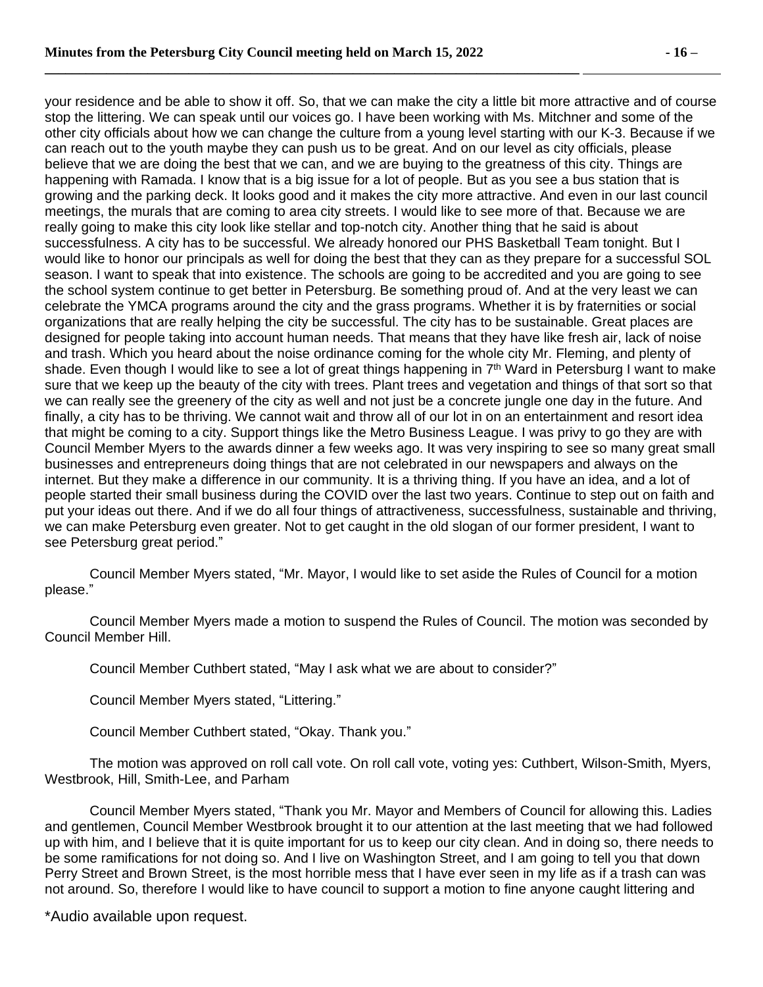your residence and be able to show it off. So, that we can make the city a little bit more attractive and of course stop the littering. We can speak until our voices go. I have been working with Ms. Mitchner and some of the other city officials about how we can change the culture from a young level starting with our K-3. Because if we can reach out to the youth maybe they can push us to be great. And on our level as city officials, please believe that we are doing the best that we can, and we are buying to the greatness of this city. Things are happening with Ramada. I know that is a big issue for a lot of people. But as you see a bus station that is growing and the parking deck. It looks good and it makes the city more attractive. And even in our last council meetings, the murals that are coming to area city streets. I would like to see more of that. Because we are really going to make this city look like stellar and top-notch city. Another thing that he said is about successfulness. A city has to be successful. We already honored our PHS Basketball Team tonight. But I would like to honor our principals as well for doing the best that they can as they prepare for a successful SOL season. I want to speak that into existence. The schools are going to be accredited and you are going to see the school system continue to get better in Petersburg. Be something proud of. And at the very least we can celebrate the YMCA programs around the city and the grass programs. Whether it is by fraternities or social organizations that are really helping the city be successful. The city has to be sustainable. Great places are designed for people taking into account human needs. That means that they have like fresh air, lack of noise and trash. Which you heard about the noise ordinance coming for the whole city Mr. Fleming, and plenty of shade. Even though I would like to see a lot of great things happening in 7<sup>th</sup> Ward in Petersburg I want to make sure that we keep up the beauty of the city with trees. Plant trees and vegetation and things of that sort so that we can really see the greenery of the city as well and not just be a concrete jungle one day in the future. And finally, a city has to be thriving. We cannot wait and throw all of our lot in on an entertainment and resort idea that might be coming to a city. Support things like the Metro Business League. I was privy to go they are with Council Member Myers to the awards dinner a few weeks ago. It was very inspiring to see so many great small businesses and entrepreneurs doing things that are not celebrated in our newspapers and always on the internet. But they make a difference in our community. It is a thriving thing. If you have an idea, and a lot of people started their small business during the COVID over the last two years. Continue to step out on faith and put your ideas out there. And if we do all four things of attractiveness, successfulness, sustainable and thriving, we can make Petersburg even greater. Not to get caught in the old slogan of our former president, I want to see Petersburg great period."

Council Member Myers stated, "Mr. Mayor, I would like to set aside the Rules of Council for a motion please."

Council Member Myers made a motion to suspend the Rules of Council. The motion was seconded by Council Member Hill.

Council Member Cuthbert stated, "May I ask what we are about to consider?"

Council Member Myers stated, "Littering."

Council Member Cuthbert stated, "Okay. Thank you."

The motion was approved on roll call vote. On roll call vote, voting yes: Cuthbert, Wilson-Smith, Myers, Westbrook, Hill, Smith-Lee, and Parham

Council Member Myers stated, "Thank you Mr. Mayor and Members of Council for allowing this. Ladies and gentlemen, Council Member Westbrook brought it to our attention at the last meeting that we had followed up with him, and I believe that it is quite important for us to keep our city clean. And in doing so, there needs to be some ramifications for not doing so. And I live on Washington Street, and I am going to tell you that down Perry Street and Brown Street, is the most horrible mess that I have ever seen in my life as if a trash can was not around. So, therefore I would like to have council to support a motion to fine anyone caught littering and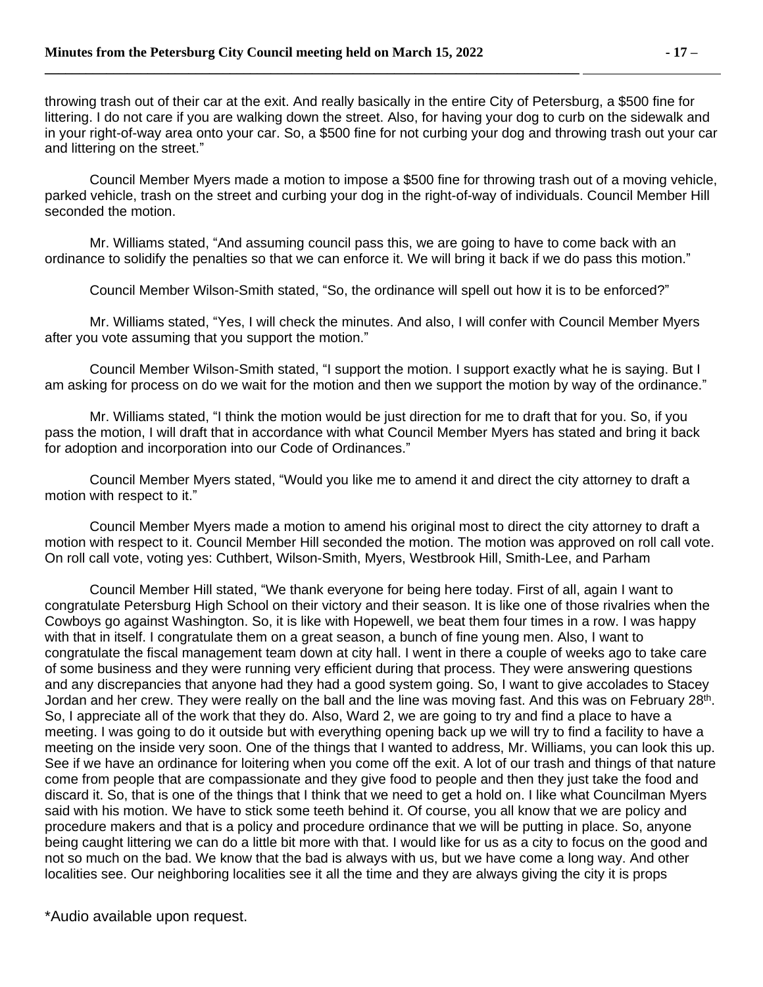throwing trash out of their car at the exit. And really basically in the entire City of Petersburg, a \$500 fine for littering. I do not care if you are walking down the street. Also, for having your dog to curb on the sidewalk and in your right-of-way area onto your car. So, a \$500 fine for not curbing your dog and throwing trash out your car and littering on the street."

Council Member Myers made a motion to impose a \$500 fine for throwing trash out of a moving vehicle, parked vehicle, trash on the street and curbing your dog in the right-of-way of individuals. Council Member Hill seconded the motion.

Mr. Williams stated, "And assuming council pass this, we are going to have to come back with an ordinance to solidify the penalties so that we can enforce it. We will bring it back if we do pass this motion."

Council Member Wilson-Smith stated, "So, the ordinance will spell out how it is to be enforced?"

Mr. Williams stated, "Yes, I will check the minutes. And also, I will confer with Council Member Myers after you vote assuming that you support the motion."

Council Member Wilson-Smith stated, "I support the motion. I support exactly what he is saying. But I am asking for process on do we wait for the motion and then we support the motion by way of the ordinance."

Mr. Williams stated, "I think the motion would be just direction for me to draft that for you. So, if you pass the motion, I will draft that in accordance with what Council Member Myers has stated and bring it back for adoption and incorporation into our Code of Ordinances."

Council Member Myers stated, "Would you like me to amend it and direct the city attorney to draft a motion with respect to it."

Council Member Myers made a motion to amend his original most to direct the city attorney to draft a motion with respect to it. Council Member Hill seconded the motion. The motion was approved on roll call vote. On roll call vote, voting yes: Cuthbert, Wilson-Smith, Myers, Westbrook Hill, Smith-Lee, and Parham

Council Member Hill stated, "We thank everyone for being here today. First of all, again I want to congratulate Petersburg High School on their victory and their season. It is like one of those rivalries when the Cowboys go against Washington. So, it is like with Hopewell, we beat them four times in a row. I was happy with that in itself. I congratulate them on a great season, a bunch of fine young men. Also, I want to congratulate the fiscal management team down at city hall. I went in there a couple of weeks ago to take care of some business and they were running very efficient during that process. They were answering questions and any discrepancies that anyone had they had a good system going. So, I want to give accolades to Stacey Jordan and her crew. They were really on the ball and the line was moving fast. And this was on February 28<sup>th</sup>. So, I appreciate all of the work that they do. Also, Ward 2, we are going to try and find a place to have a meeting. I was going to do it outside but with everything opening back up we will try to find a facility to have a meeting on the inside very soon. One of the things that I wanted to address, Mr. Williams, you can look this up. See if we have an ordinance for loitering when you come off the exit. A lot of our trash and things of that nature come from people that are compassionate and they give food to people and then they just take the food and discard it. So, that is one of the things that I think that we need to get a hold on. I like what Councilman Myers said with his motion. We have to stick some teeth behind it. Of course, you all know that we are policy and procedure makers and that is a policy and procedure ordinance that we will be putting in place. So, anyone being caught littering we can do a little bit more with that. I would like for us as a city to focus on the good and not so much on the bad. We know that the bad is always with us, but we have come a long way. And other localities see. Our neighboring localities see it all the time and they are always giving the city it is props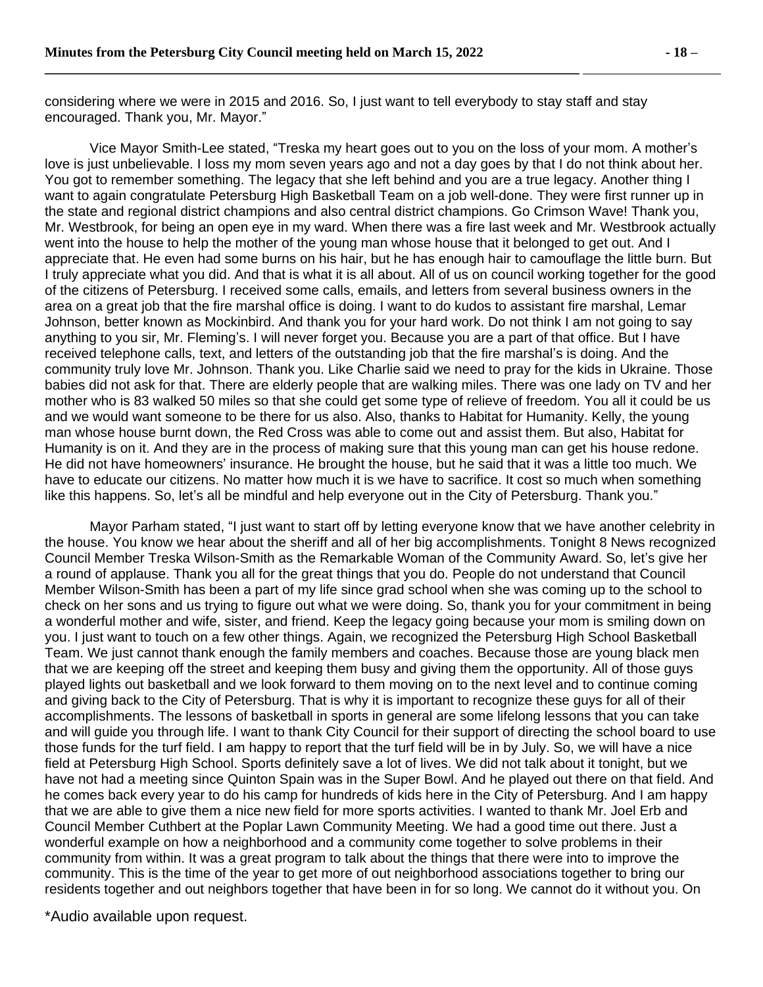considering where we were in 2015 and 2016. So, I just want to tell everybody to stay staff and stay encouraged. Thank you, Mr. Mayor."

**\_\_\_\_\_\_\_\_\_\_\_\_\_\_\_\_\_\_\_\_\_\_\_\_\_\_\_\_\_\_\_\_\_\_\_\_\_\_\_\_\_\_\_\_\_\_\_\_\_\_\_\_\_\_\_\_\_\_\_\_\_\_\_\_\_\_\_\_\_\_\_\_\_\_\_\_\_\_** 

Vice Mayor Smith-Lee stated, "Treska my heart goes out to you on the loss of your mom. A mother's love is just unbelievable. I loss my mom seven years ago and not a day goes by that I do not think about her. You got to remember something. The legacy that she left behind and you are a true legacy. Another thing I want to again congratulate Petersburg High Basketball Team on a job well-done. They were first runner up in the state and regional district champions and also central district champions. Go Crimson Wave! Thank you, Mr. Westbrook, for being an open eye in my ward. When there was a fire last week and Mr. Westbrook actually went into the house to help the mother of the young man whose house that it belonged to get out. And I appreciate that. He even had some burns on his hair, but he has enough hair to camouflage the little burn. But I truly appreciate what you did. And that is what it is all about. All of us on council working together for the good of the citizens of Petersburg. I received some calls, emails, and letters from several business owners in the area on a great job that the fire marshal office is doing. I want to do kudos to assistant fire marshal, Lemar Johnson, better known as Mockinbird. And thank you for your hard work. Do not think I am not going to say anything to you sir, Mr. Fleming's. I will never forget you. Because you are a part of that office. But I have received telephone calls, text, and letters of the outstanding job that the fire marshal's is doing. And the community truly love Mr. Johnson. Thank you. Like Charlie said we need to pray for the kids in Ukraine. Those babies did not ask for that. There are elderly people that are walking miles. There was one lady on TV and her mother who is 83 walked 50 miles so that she could get some type of relieve of freedom. You all it could be us and we would want someone to be there for us also. Also, thanks to Habitat for Humanity. Kelly, the young man whose house burnt down, the Red Cross was able to come out and assist them. But also, Habitat for Humanity is on it. And they are in the process of making sure that this young man can get his house redone. He did not have homeowners' insurance. He brought the house, but he said that it was a little too much. We have to educate our citizens. No matter how much it is we have to sacrifice. It cost so much when something like this happens. So, let's all be mindful and help everyone out in the City of Petersburg. Thank you."

Mayor Parham stated, "I just want to start off by letting everyone know that we have another celebrity in the house. You know we hear about the sheriff and all of her big accomplishments. Tonight 8 News recognized Council Member Treska Wilson-Smith as the Remarkable Woman of the Community Award. So, let's give her a round of applause. Thank you all for the great things that you do. People do not understand that Council Member Wilson-Smith has been a part of my life since grad school when she was coming up to the school to check on her sons and us trying to figure out what we were doing. So, thank you for your commitment in being a wonderful mother and wife, sister, and friend. Keep the legacy going because your mom is smiling down on you. I just want to touch on a few other things. Again, we recognized the Petersburg High School Basketball Team. We just cannot thank enough the family members and coaches. Because those are young black men that we are keeping off the street and keeping them busy and giving them the opportunity. All of those guys played lights out basketball and we look forward to them moving on to the next level and to continue coming and giving back to the City of Petersburg. That is why it is important to recognize these guys for all of their accomplishments. The lessons of basketball in sports in general are some lifelong lessons that you can take and will guide you through life. I want to thank City Council for their support of directing the school board to use those funds for the turf field. I am happy to report that the turf field will be in by July. So, we will have a nice field at Petersburg High School. Sports definitely save a lot of lives. We did not talk about it tonight, but we have not had a meeting since Quinton Spain was in the Super Bowl. And he played out there on that field. And he comes back every year to do his camp for hundreds of kids here in the City of Petersburg. And I am happy that we are able to give them a nice new field for more sports activities. I wanted to thank Mr. Joel Erb and Council Member Cuthbert at the Poplar Lawn Community Meeting. We had a good time out there. Just a wonderful example on how a neighborhood and a community come together to solve problems in their community from within. It was a great program to talk about the things that there were into to improve the community. This is the time of the year to get more of out neighborhood associations together to bring our residents together and out neighbors together that have been in for so long. We cannot do it without you. On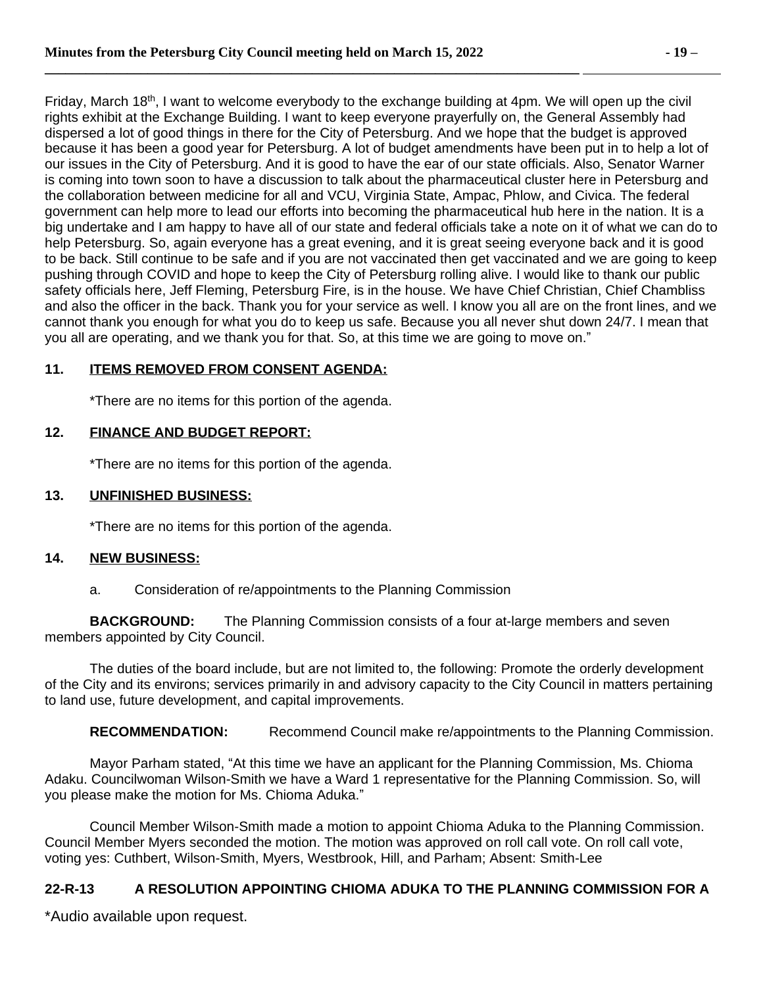Friday, March 18<sup>th</sup>, I want to welcome everybody to the exchange building at 4pm. We will open up the civil rights exhibit at the Exchange Building. I want to keep everyone prayerfully on, the General Assembly had dispersed a lot of good things in there for the City of Petersburg. And we hope that the budget is approved because it has been a good year for Petersburg. A lot of budget amendments have been put in to help a lot of our issues in the City of Petersburg. And it is good to have the ear of our state officials. Also, Senator Warner is coming into town soon to have a discussion to talk about the pharmaceutical cluster here in Petersburg and the collaboration between medicine for all and VCU, Virginia State, Ampac, Phlow, and Civica. The federal government can help more to lead our efforts into becoming the pharmaceutical hub here in the nation. It is a big undertake and I am happy to have all of our state and federal officials take a note on it of what we can do to help Petersburg. So, again everyone has a great evening, and it is great seeing everyone back and it is good to be back. Still continue to be safe and if you are not vaccinated then get vaccinated and we are going to keep pushing through COVID and hope to keep the City of Petersburg rolling alive. I would like to thank our public safety officials here, Jeff Fleming, Petersburg Fire, is in the house. We have Chief Christian, Chief Chambliss and also the officer in the back. Thank you for your service as well. I know you all are on the front lines, and we cannot thank you enough for what you do to keep us safe. Because you all never shut down 24/7. I mean that you all are operating, and we thank you for that. So, at this time we are going to move on."

## **11. ITEMS REMOVED FROM CONSENT AGENDA:**

\*There are no items for this portion of the agenda.

## **12. FINANCE AND BUDGET REPORT:**

\*There are no items for this portion of the agenda.

#### **13. UNFINISHED BUSINESS:**

\*There are no items for this portion of the agenda.

## **14. NEW BUSINESS:**

a. Consideration of re/appointments to the Planning Commission

**BACKGROUND:** The Planning Commission consists of a four at-large members and seven members appointed by City Council.

The duties of the board include, but are not limited to, the following: Promote the orderly development of the City and its environs; services primarily in and advisory capacity to the City Council in matters pertaining to land use, future development, and capital improvements.

**RECOMMENDATION:** Recommend Council make re/appointments to the Planning Commission.

Mayor Parham stated, "At this time we have an applicant for the Planning Commission, Ms. Chioma Adaku. Councilwoman Wilson-Smith we have a Ward 1 representative for the Planning Commission. So, will you please make the motion for Ms. Chioma Aduka."

Council Member Wilson-Smith made a motion to appoint Chioma Aduka to the Planning Commission. Council Member Myers seconded the motion. The motion was approved on roll call vote. On roll call vote, voting yes: Cuthbert, Wilson-Smith, Myers, Westbrook, Hill, and Parham; Absent: Smith-Lee

## **22-R-13 A RESOLUTION APPOINTING CHIOMA ADUKA TO THE PLANNING COMMISSION FOR A**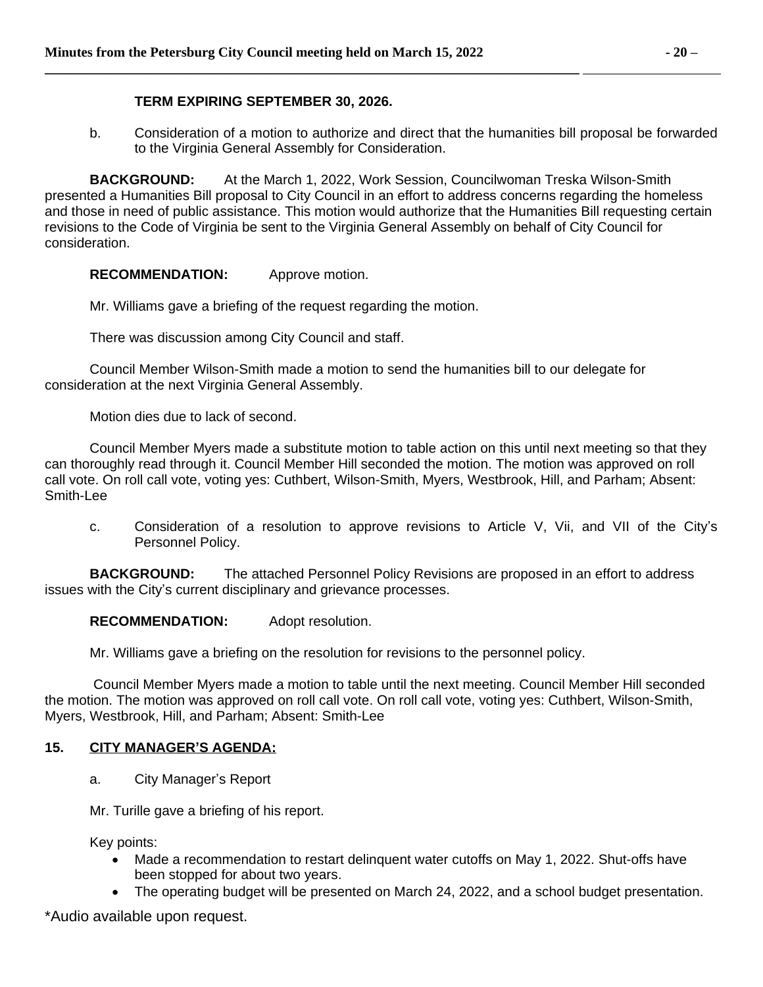# **TERM EXPIRING SEPTEMBER 30, 2026.**

b. Consideration of a motion to authorize and direct that the humanities bill proposal be forwarded to the Virginia General Assembly for Consideration.

**BACKGROUND:** At the March 1, 2022, Work Session, Councilwoman Treska Wilson-Smith presented a Humanities Bill proposal to City Council in an effort to address concerns regarding the homeless and those in need of public assistance. This motion would authorize that the Humanities Bill requesting certain revisions to the Code of Virginia be sent to the Virginia General Assembly on behalf of City Council for consideration.

**RECOMMENDATION:** Approve motion.

Mr. Williams gave a briefing of the request regarding the motion.

There was discussion among City Council and staff.

Council Member Wilson-Smith made a motion to send the humanities bill to our delegate for consideration at the next Virginia General Assembly.

Motion dies due to lack of second.

Council Member Myers made a substitute motion to table action on this until next meeting so that they can thoroughly read through it. Council Member Hill seconded the motion. The motion was approved on roll call vote. On roll call vote, voting yes: Cuthbert, Wilson-Smith, Myers, Westbrook, Hill, and Parham; Absent: Smith-Lee

c. Consideration of a resolution to approve revisions to Article V, Vii, and VII of the City's Personnel Policy.

**BACKGROUND:** The attached Personnel Policy Revisions are proposed in an effort to address issues with the City's current disciplinary and grievance processes.

**RECOMMENDATION:** Adopt resolution.

Mr. Williams gave a briefing on the resolution for revisions to the personnel policy.

Council Member Myers made a motion to table until the next meeting. Council Member Hill seconded the motion. The motion was approved on roll call vote. On roll call vote, voting yes: Cuthbert, Wilson-Smith, Myers, Westbrook, Hill, and Parham; Absent: Smith-Lee

# **15. CITY MANAGER'S AGENDA:**

a. City Manager's Report

Mr. Turille gave a briefing of his report.

Key points:

- Made a recommendation to restart delinquent water cutoffs on May 1, 2022. Shut-offs have been stopped for about two years.
- The operating budget will be presented on March 24, 2022, and a school budget presentation.